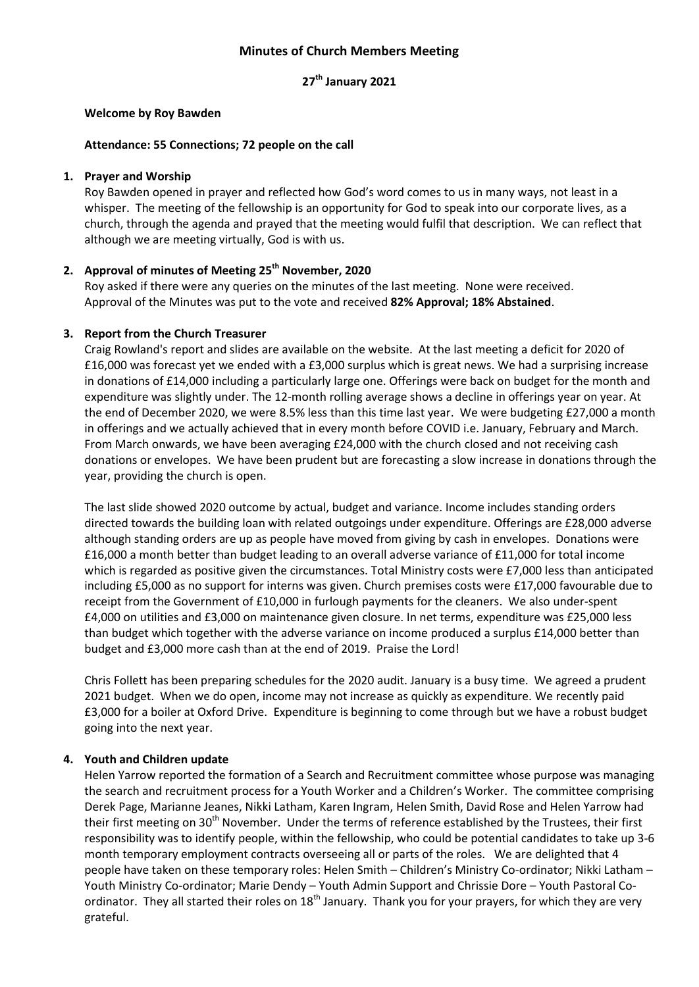# **Minutes of Church Members Meeting**

### **27th January 2021**

#### **Welcome by Roy Bawden**

#### **Attendance: 55 Connections; 72 people on the call**

#### **1. Prayer and Worship**

Roy Bawden opened in prayer and reflected how God's word comes to us in many ways, not least in a whisper. The meeting of the fellowship is an opportunity for God to speak into our corporate lives, as a church, through the agenda and prayed that the meeting would fulfil that description. We can reflect that although we are meeting virtually, God is with us.

## **2. Approval of minutes of Meeting 25th November, 2020**

Roy asked if there were any queries on the minutes of the last meeting. None were received. Approval of the Minutes was put to the vote and received **82% Approval; 18% Abstained**.

### **3. Report from the Church Treasurer**

Craig Rowland's report and slides are available on the website. At the last meeting a deficit for 2020 of £16,000 was forecast yet we ended with a £3,000 surplus which is great news. We had a surprising increase in donations of £14,000 including a particularly large one. Offerings were back on budget for the month and expenditure was slightly under. The 12-month rolling average shows a decline in offerings year on year. At the end of December 2020, we were 8.5% less than this time last year. We were budgeting £27,000 a month in offerings and we actually achieved that in every month before COVID i.e. January, February and March. From March onwards, we have been averaging £24,000 with the church closed and not receiving cash donations or envelopes. We have been prudent but are forecasting a slow increase in donations through the year, providing the church is open.

The last slide showed 2020 outcome by actual, budget and variance. Income includes standing orders directed towards the building loan with related outgoings under expenditure. Offerings are £28,000 adverse although standing orders are up as people have moved from giving by cash in envelopes. Donations were £16,000 a month better than budget leading to an overall adverse variance of £11,000 for total income which is regarded as positive given the circumstances. Total Ministry costs were £7,000 less than anticipated including £5,000 as no support for interns was given. Church premises costs were £17,000 favourable due to receipt from the Government of £10,000 in furlough payments for the cleaners. We also under-spent £4,000 on utilities and £3,000 on maintenance given closure. In net terms, expenditure was £25,000 less than budget which together with the adverse variance on income produced a surplus £14,000 better than budget and £3,000 more cash than at the end of 2019. Praise the Lord!

Chris Follett has been preparing schedules for the 2020 audit. January is a busy time. We agreed a prudent 2021 budget. When we do open, income may not increase as quickly as expenditure. We recently paid £3,000 for a boiler at Oxford Drive. Expenditure is beginning to come through but we have a robust budget going into the next year.

### **4. Youth and Children update**

Helen Yarrow reported the formation of a Search and Recruitment committee whose purpose was managing the search and recruitment process for a Youth Worker and a Children's Worker. The committee comprising Derek Page, Marianne Jeanes, Nikki Latham, Karen Ingram, Helen Smith, David Rose and Helen Yarrow had their first meeting on 30<sup>th</sup> November. Under the terms of reference established by the Trustees, their first responsibility was to identify people, within the fellowship, who could be potential candidates to take up 3-6 month temporary employment contracts overseeing all or parts of the roles. We are delighted that 4 people have taken on these temporary roles: Helen Smith – Children's Ministry Co-ordinator; Nikki Latham – Youth Ministry Co-ordinator; Marie Dendy – Youth Admin Support and Chrissie Dore – Youth Pastoral Coordinator. They all started their roles on 18<sup>th</sup> January. Thank you for your prayers, for which they are very grateful.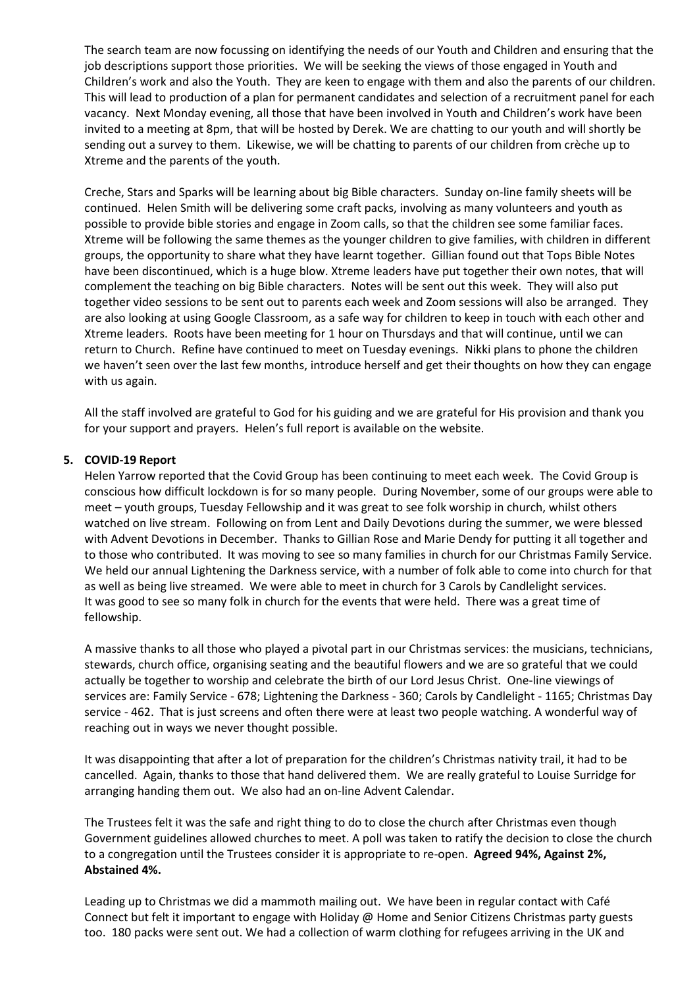The search team are now focussing on identifying the needs of our Youth and Children and ensuring that the job descriptions support those priorities. We will be seeking the views of those engaged in Youth and Children's work and also the Youth. They are keen to engage with them and also the parents of our children. This will lead to production of a plan for permanent candidates and selection of a recruitment panel for each vacancy. Next Monday evening, all those that have been involved in Youth and Children's work have been invited to a meeting at 8pm, that will be hosted by Derek. We are chatting to our youth and will shortly be sending out a survey to them. Likewise, we will be chatting to parents of our children from crèche up to Xtreme and the parents of the youth.

Creche, Stars and Sparks will be learning about big Bible characters. Sunday on-line family sheets will be continued. Helen Smith will be delivering some craft packs, involving as many volunteers and youth as possible to provide bible stories and engage in Zoom calls, so that the children see some familiar faces. Xtreme will be following the same themes as the younger children to give families, with children in different groups, the opportunity to share what they have learnt together. Gillian found out that Tops Bible Notes have been discontinued, which is a huge blow. Xtreme leaders have put together their own notes, that will complement the teaching on big Bible characters. Notes will be sent out this week. They will also put together video sessions to be sent out to parents each week and Zoom sessions will also be arranged. They are also looking at using Google Classroom, as a safe way for children to keep in touch with each other and Xtreme leaders. Roots have been meeting for 1 hour on Thursdays and that will continue, until we can return to Church. Refine have continued to meet on Tuesday evenings. Nikki plans to phone the children we haven't seen over the last few months, introduce herself and get their thoughts on how they can engage with us again.

All the staff involved are grateful to God for his guiding and we are grateful for His provision and thank you for your support and prayers. Helen's full report is available on the website.

### **5. COVID-19 Report**

Helen Yarrow reported that the Covid Group has been continuing to meet each week. The Covid Group is conscious how difficult lockdown is for so many people. During November, some of our groups were able to meet – youth groups, Tuesday Fellowship and it was great to see folk worship in church, whilst others watched on live stream. Following on from Lent and Daily Devotions during the summer, we were blessed with Advent Devotions in December. Thanks to Gillian Rose and Marie Dendy for putting it all together and to those who contributed. It was moving to see so many families in church for our Christmas Family Service. We held our annual Lightening the Darkness service, with a number of folk able to come into church for that as well as being live streamed. We were able to meet in church for 3 Carols by Candlelight services. It was good to see so many folk in church for the events that were held. There was a great time of fellowship.

A massive thanks to all those who played a pivotal part in our Christmas services: the musicians, technicians, stewards, church office, organising seating and the beautiful flowers and we are so grateful that we could actually be together to worship and celebrate the birth of our Lord Jesus Christ. One-line viewings of services are: Family Service - 678; Lightening the Darkness - 360; Carols by Candlelight - 1165; Christmas Day service - 462. That is just screens and often there were at least two people watching. A wonderful way of reaching out in ways we never thought possible.

It was disappointing that after a lot of preparation for the children's Christmas nativity trail, it had to be cancelled. Again, thanks to those that hand delivered them. We are really grateful to Louise Surridge for arranging handing them out. We also had an on-line Advent Calendar.

The Trustees felt it was the safe and right thing to do to close the church after Christmas even though Government guidelines allowed churches to meet. A poll was taken to ratify the decision to close the church to a congregation until the Trustees consider it is appropriate to re-open. **Agreed 94%, Against 2%, Abstained 4%.**

Leading up to Christmas we did a mammoth mailing out. We have been in regular contact with Café Connect but felt it important to engage with Holiday @ Home and Senior Citizens Christmas party guests too. 180 packs were sent out. We had a collection of warm clothing for refugees arriving in the UK and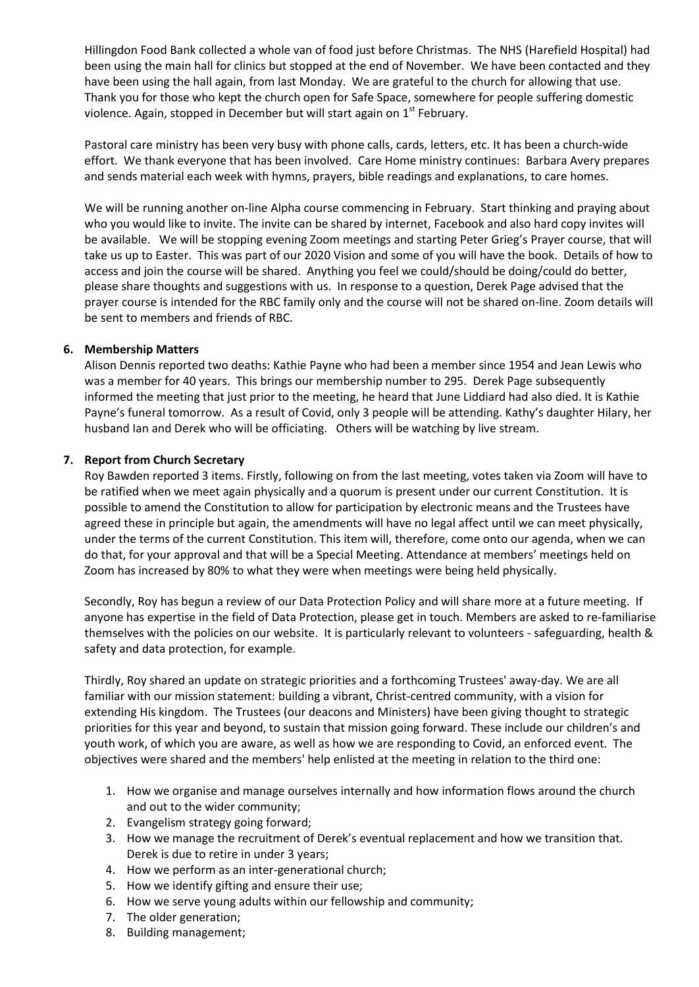Hillingdon Food Bank collected a whole van of food just before Christmas. The NHS (Harefield Hospital) had been using the main hall for clinics but stopped at the end of November. We have been contacted and they have been using the hall again, from last Monday. We are grateful to the church for allowing that use. Thank you for those who kept the church open for Safe Space, somewhere for people suffering domestic violence. Again, stopped in December but will start again on  $1<sup>st</sup>$  February.

Pastoral care ministry has been very busy with phone calls, cards, letters, etc. It has been a church-wide effort. We thank everyone that has been involved. Care Home ministry continues: Barbara Avery prepares and sends material each week with hymns, prayers, bible readings and explanations, to care homes.

We will be running another on-line Alpha course commencing in February. Start thinking and praying about who you would like to invite. The invite can be shared by internet, Facebook and also hard copy invites will be available. We will be stopping evening Zoom meetings and starting Peter Grieg's Prayer course, that will take us up to Easter. This was part of our 2020 Vision and some of you will have the book. Details of how to access and join the course will be shared. Anything you feel we could/should be doing/could do better, please share thoughts and suggestions with us. In response to a question, Derek Page advised that the prayer course is intended for the RBC family only and the course will not be shared on-line. Zoom details will be sent to members and friends of RBC.

## **6. Membership Matters**

Alison Dennis reported two deaths: Kathie Payne who had been a member since 1954 and Jean Lewis who was a member for 40 years. This brings our membership number to 295. Derek Page subsequently informed the meeting that just prior to the meeting, he heard that June Liddiard had also died. It is Kathie Payne's funeral tomorrow. As a result of Covid, only 3 people will be attending. Kathy's daughter Hilary, her husband Ian and Derek who will be officiating. Others will be watching by live stream.

## **7. Report from Church Secretary**

Roy Bawden reported 3 items. Firstly, following on from the last meeting, votes taken via Zoom will have to be ratified when we meet again physically and a quorum is present under our current Constitution. It is possible to amend the Constitution to allow for participation by electronic means and the Trustees have agreed these in principle but again, the amendments will have no legal affect until we can meet physically, under the terms of the current Constitution. This item will, therefore, come onto our agenda, when we can do that, for your approval and that will be a Special Meeting. Attendance at members' meetings held on Zoom has increased by 80% to what they were when meetings were being held physically.

Secondly, Roy has begun a review of our Data Protection Policy and will share more at a future meeting. If anyone has expertise in the field of Data Protection, please get in touch. Members are asked to re-familiarise themselves with the policies on our website. It is particularly relevant to volunteers - safeguarding, health & safety and data protection, for example.

Thirdly, Roy shared an update on strategic priorities and a forthcoming Trustees' away-day. We are all familiar with our mission statement: building a vibrant, Christ-centred community, with a vision for extending His kingdom. The Trustees (our deacons and Ministers) have been giving thought to strategic priorities for this year and beyond, to sustain that mission going forward. These include our children's and youth work, of which you are aware, as well as how we are responding to Covid, an enforced event. The objectives were shared and the members' help enlisted at the meeting in relation to the third one:

- 1. How we organise and manage ourselves internally and how information flows around the church and out to the wider community;
- 2. Evangelism strategy going forward;
- 3. How we manage the recruitment of Derek's eventual replacement and how we transition that. Derek is due to retire in under 3 years;
- 4. How we perform as an inter-generational church;
- 5. How we identify gifting and ensure their use;
- 6. How we serve young adults within our fellowship and community;
- 7. The older generation;
- 8. Building management;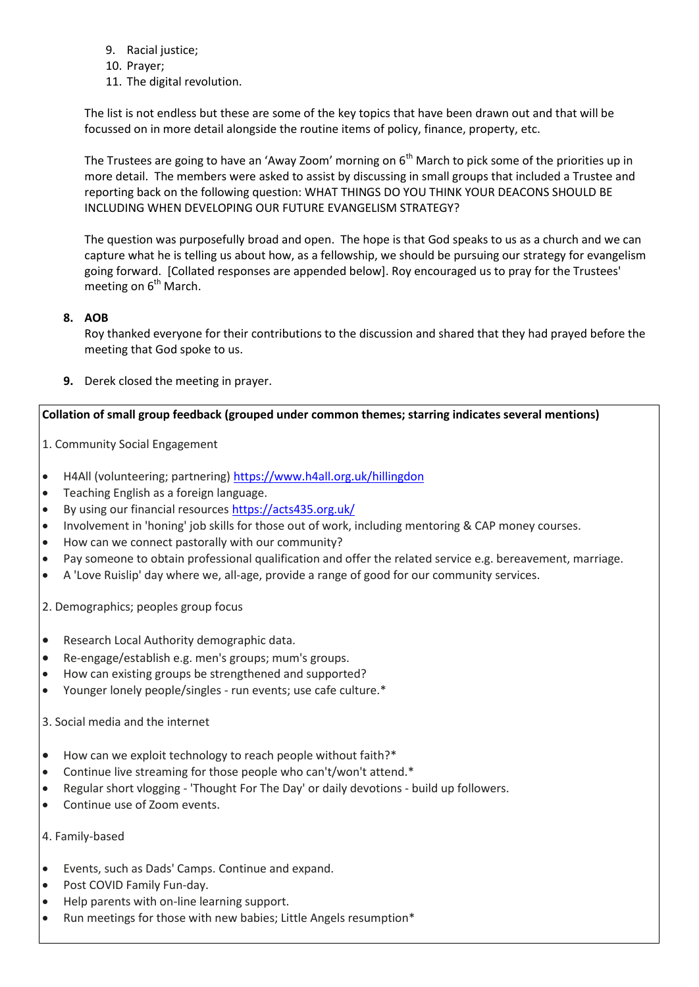- 9. Racial justice;
- 10. Prayer;
- 11. The digital revolution.

The list is not endless but these are some of the key topics that have been drawn out and that will be focussed on in more detail alongside the routine items of policy, finance, property, etc.

The Trustees are going to have an 'Away Zoom' morning on 6<sup>th</sup> March to pick some of the priorities up in more detail. The members were asked to assist by discussing in small groups that included a Trustee and reporting back on the following question: WHAT THINGS DO YOU THINK YOUR DEACONS SHOULD BE INCLUDING WHEN DEVELOPING OUR FUTURE EVANGELISM STRATEGY?

The question was purposefully broad and open. The hope is that God speaks to us as a church and we can capture what he is telling us about how, as a fellowship, we should be pursuing our strategy for evangelism going forward. [Collated responses are appended below]. Roy encouraged us to pray for the Trustees' meeting on  $6<sup>th</sup>$  March.

## **8. AOB**

Roy thanked everyone for their contributions to the discussion and shared that they had prayed before the meeting that God spoke to us.

**9.** Derek closed the meeting in prayer.

## **Collation of small group feedback (grouped under common themes; starring indicates several mentions)**

- 1. Community Social Engagement
- H4All (volunteering; partnering)<https://www.h4all.org.uk/hillingdon>
- Teaching English as a foreign language.
- By using our financial resources <https://acts435.org.uk/>
- Involvement in 'honing' job skills for those out of work, including mentoring & CAP money courses.
- How can we connect pastorally with our community?
- Pay someone to obtain professional qualification and offer the related service e.g. bereavement, marriage.
- A 'Love Ruislip' day where we, all-age, provide a range of good for our community services.

2. Demographics; peoples group focus

- Research Local Authority demographic data.
- Re-engage/establish e.g. men's groups; mum's groups.
- How can existing groups be strengthened and supported?
- Younger lonely people/singles run events; use cafe culture.\*

3. Social media and the internet

- How can we exploit technology to reach people without faith?\*
- Continue live streaming for those people who can't/won't attend.\*
- Regular short vlogging 'Thought For The Day' or daily devotions build up followers.
- Continue use of Zoom events.

### 4. Family-based

- Events, such as Dads' Camps. Continue and expand.
- Post COVID Family Fun-day.
- Help parents with on-line learning support.
- Run meetings for those with new babies; Little Angels resumption\*